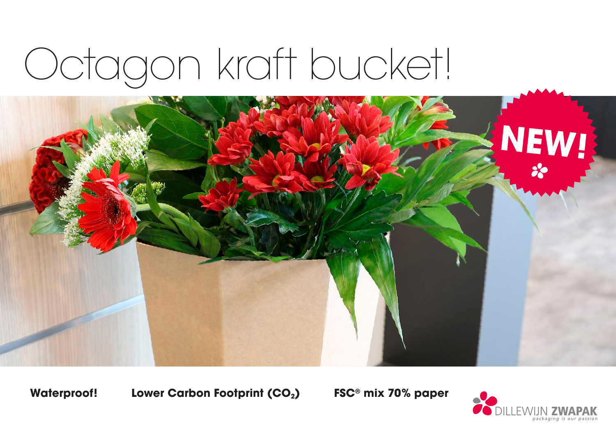# Octagon kraft bucket!



Waterproof! Lower Carbon Footprint (CO<sub>2</sub>) FSC<sup>®</sup> mix 70% paper